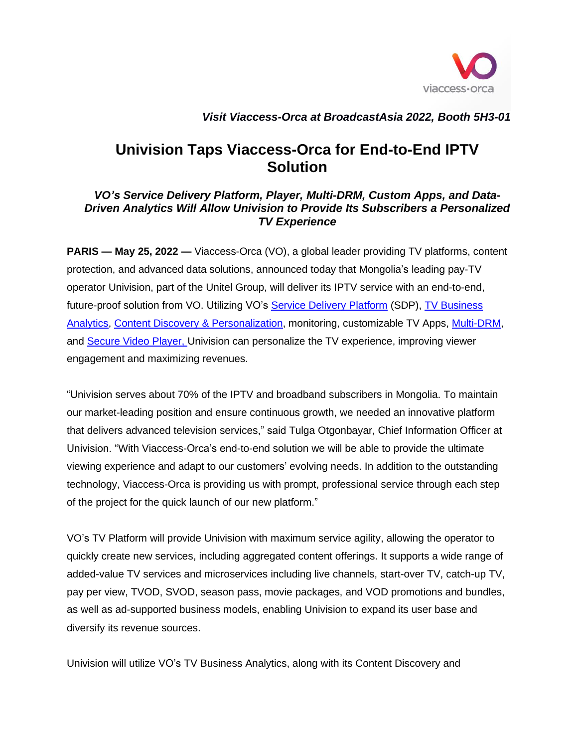

## *Visit Viaccess-Orca at BroadcastAsia 2022, Booth 5H3-01*

## **Univision Taps Viaccess-Orca for End-to-End IPTV Solution**

## *VO's Service Delivery Platform, Player, Multi-DRM, Custom Apps, and Data-Driven Analytics Will Allow Univision to Provide Its Subscribers a Personalized TV Experience*

**PARIS — May 25, 2022 —** Viaccess-Orca (VO), a global leader providing TV platforms, content protection, and advanced data solutions, announced today that Mongolia's leading pay-TV operator Univision, part of the Unitel Group, will deliver its IPTV service with an end-to-end, future-proof solution from VO. Utilizing VO's [Service Delivery Platform](https://www.viaccess-orca.com/service-delivery-platform) (SDP), [TV Business](https://www.viaccess-orca.com/tv-analytics)  [Analytics,](https://www.viaccess-orca.com/tv-analytics) [Content Discovery & Personalization,](https://www.viaccess-orca.com/content-discovery-platform) monitoring, customizable TV Apps, [Multi-DRM,](https://www.viaccess-orca.com/drm-solutions) and [Secure Video Player,](https://www.viaccess-orca.com/secure-player) Univision can personalize the TV experience, improving viewer engagement and maximizing revenues.

"Univision serves about 70% of the IPTV and broadband subscribers in Mongolia. To maintain our market-leading position and ensure continuous growth, we needed an innovative platform that delivers advanced television services," said Tulga Otgonbayar, Chief Information Officer at Univision. "With Viaccess-Orca's end-to-end solution we will be able to provide the ultimate viewing experience and adapt to our customers' evolving needs. In addition to the outstanding technology, Viaccess-Orca is providing us with prompt, professional service through each step of the project for the quick launch of our new platform."

VO's TV Platform will provide Univision with maximum service agility, allowing the operator to quickly create new services, including aggregated content offerings. It supports a wide range of added-value TV services and microservices including live channels, start-over TV, catch-up TV, pay per view, TVOD, SVOD, season pass, movie packages, and VOD promotions and bundles, as well as ad-supported business models, enabling Univision to expand its user base and diversify its revenue sources.

Univision will utilize VO's TV Business Analytics, along with its Content Discovery and